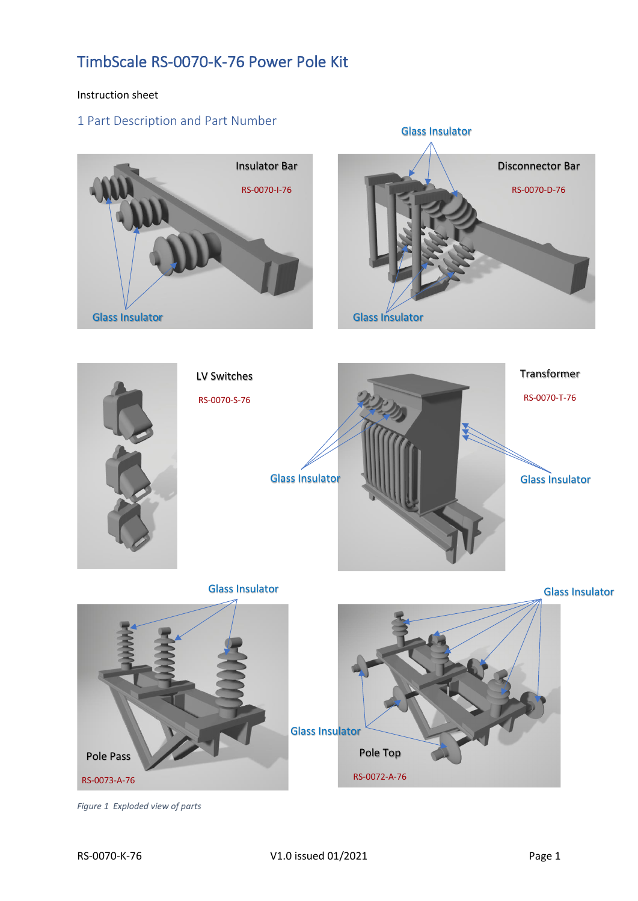#### Instruction sheet

## 1 Part Description and Part Number



*Figure 1 Exploded view of parts*

Pole Pass

RS-0073-A-76

Glass Insulator

Pole Top

RS-0072-A-76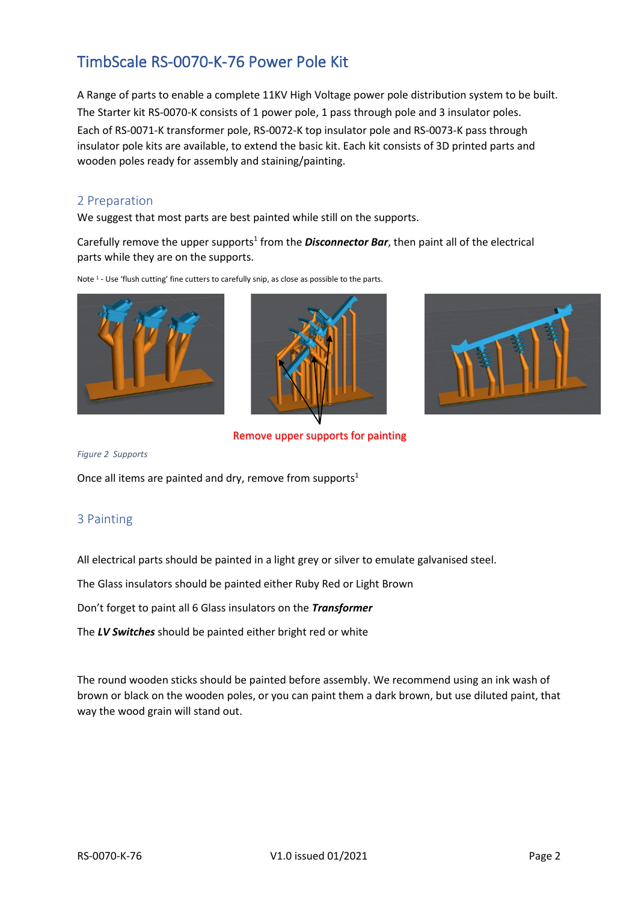A Range of parts to enable a complete 11KV High Voltage power pole distribution system to be built. The Starter kit RS-0070-K consists of 1 power pole, 1 pass through pole and 3 insulator poles. Each of RS-0071-K transformer pole, RS-0072-K top insulator pole and RS-0073-K pass through insulator pole kits are available, to extend the basic kit. Each kit consists of 3D printed parts and wooden poles ready for assembly and staining/painting.

### 2 Preparation

We suggest that most parts are best painted while still on the supports.

Carefully remove the upper supports<sup>1</sup> from the **Disconnector Bar**, then paint all of the electrical parts while they are on the supports.









Remove upper supports for painting

*Figure 2 Supports*

Once all items are painted and dry, remove from supports<sup>1</sup>

### 3 Painting

All electrical parts should be painted in a light grey or silver to emulate galvanised steel.

The Glass insulators should be painted either Ruby Red or Light Brown

Don't forget to paint all 6 Glass insulators on the *Transformer*

The *LV Switches* should be painted either bright red or white

The round wooden sticks should be painted before assembly. We recommend using an ink wash of brown or black on the wooden poles, or you can paint them a dark brown, but use diluted paint, that way the wood grain will stand out.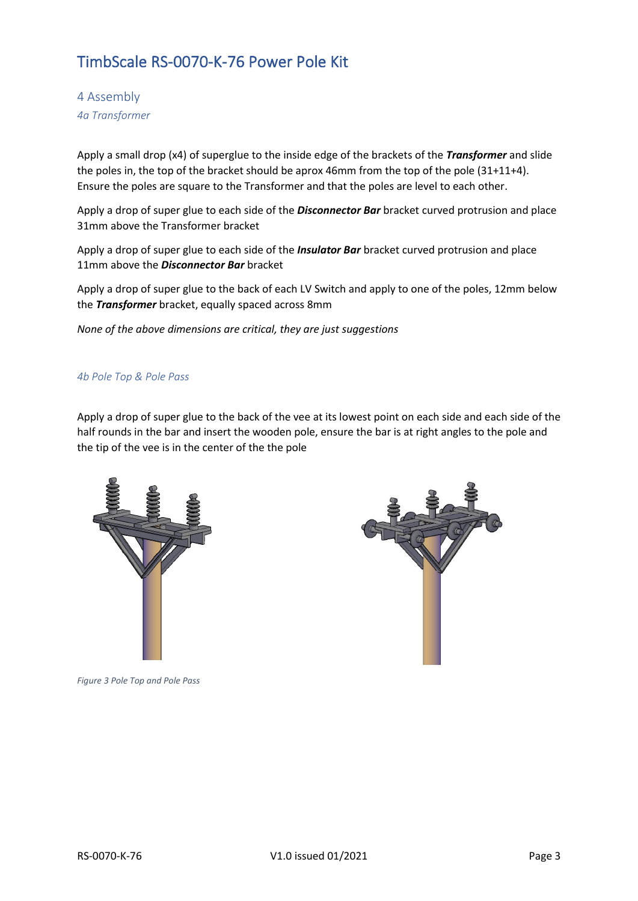4 Assembly *4a Transformer*

Apply a small drop (x4) of superglue to the inside edge of the brackets of the *Transformer* and slide the poles in, the top of the bracket should be aprox 46mm from the top of the pole (31+11+4). Ensure the poles are square to the Transformer and that the poles are level to each other.

Apply a drop of super glue to each side of the *Disconnector Bar* bracket curved protrusion and place 31mm above the Transformer bracket

Apply a drop of super glue to each side of the *Insulator Bar* bracket curved protrusion and place 11mm above the *Disconnector Bar* bracket

Apply a drop of super glue to the back of each LV Switch and apply to one of the poles, 12mm below the *Transformer* bracket, equally spaced across 8mm

*None of the above dimensions are critical, they are just suggestions*

#### *4b Pole Top & Pole Pass*

Apply a drop of super glue to the back of the vee at its lowest point on each side and each side of the half rounds in the bar and insert the wooden pole, ensure the bar is at right angles to the pole and the tip of the vee is in the center of the the pole



*Figure 3 Pole Top and Pole Pass*